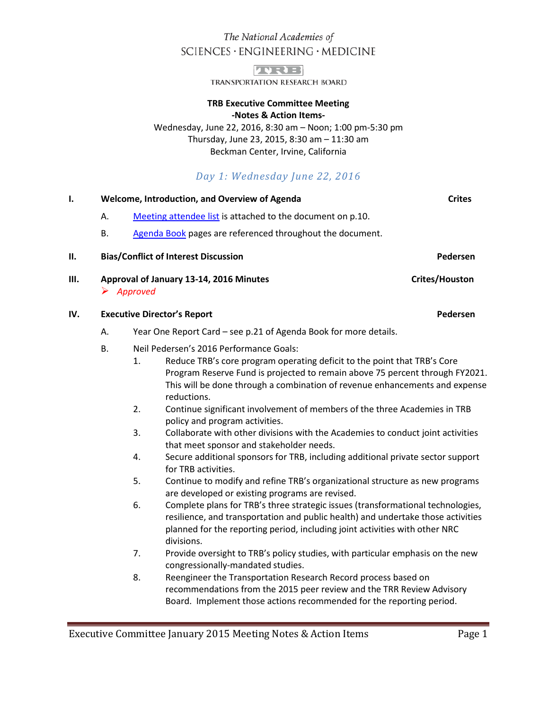# The National Academies of SCIENCES · ENGINEERING · MEDICINE



TRANSPORTATION RESEARCH BOARD

### **TRB Executive Committee Meeting -Notes & Action Items-**

Wednesday, June 22, 2016, 8:30 am – Noon; 1:00 pm-5:30 pm Thursday, June 23, 2015, 8:30 am – 11:30 am Beckman Center, Irvine, California

# *Day 1: Wednesday June 22, 2016*

## **I. CONFIGUARY WEIGHT WEIGHT WEIGHT OF A WEIGHT AND METALLY CONFIDENT CONFIGURATION** Crites

- A. [Meeting attendee list](#page-8-0) is attached to the document on p.10.
- B. [Agenda Book](http://onlinepubs.trb.org/onlinepubs/excomm/16-06-AgendaBook.pdf) pages are referenced throughout the document.

### **II.** Bias/Conflict of Interest Discussion **Pedersen** Pedersen

**III. Approval of January 13-14, 2016 Minutes Crites/Houston** Crites/Houston *Approved*

### **IV. Executive Director's Report Pedersen**

- A. Year One Report Card see p.21 of Agenda Book for more details.
- B. Neil Pedersen's 2016 Performance Goals:
	- 1. Reduce TRB's core program operating deficit to the point that TRB's Core Program Reserve Fund is projected to remain above 75 percent through FY2021. This will be done through a combination of revenue enhancements and expense reductions.
	- 2. Continue significant involvement of members of the three Academies in TRB policy and program activities.
	- 3. Collaborate with other divisions with the Academies to conduct joint activities that meet sponsor and stakeholder needs.
	- 4. Secure additional sponsors for TRB, including additional private sector support for TRB activities.
	- 5. Continue to modify and refine TRB's organizational structure as new programs are developed or existing programs are revised.
	- 6. Complete plans for TRB's three strategic issues (transformational technologies, resilience, and transportation and public health) and undertake those activities planned for the reporting period, including joint activities with other NRC divisions.
	- 7. Provide oversight to TRB's policy studies, with particular emphasis on the new congressionally-mandated studies.
	- 8. Reengineer the Transportation Research Record process based on recommendations from the 2015 peer review and the TRR Review Advisory Board. Implement those actions recommended for the reporting period.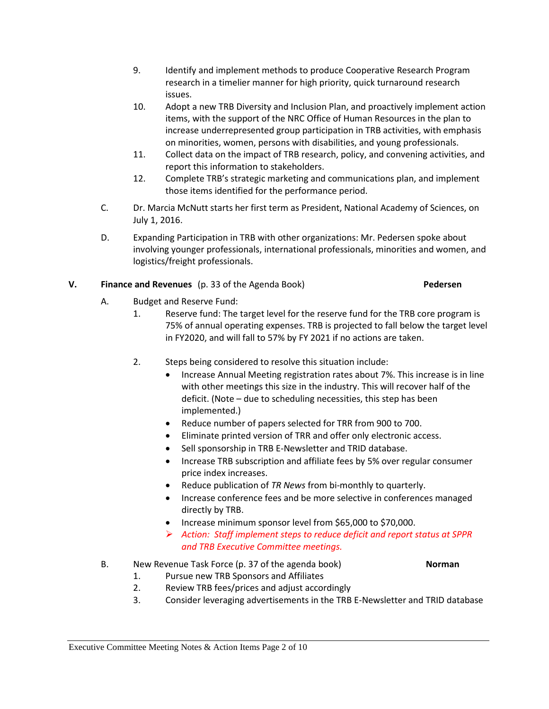- 9. Identify and implement methods to produce Cooperative Research Program research in a timelier manner for high priority, quick turnaround research issues.
- 10. Adopt a new TRB Diversity and Inclusion Plan, and proactively implement action items, with the support of the NRC Office of Human Resources in the plan to increase underrepresented group participation in TRB activities, with emphasis on minorities, women, persons with disabilities, and young professionals.
- 11. Collect data on the impact of TRB research, policy, and convening activities, and report this information to stakeholders.
- 12. Complete TRB's strategic marketing and communications plan, and implement those items identified for the performance period.
- C. Dr. Marcia McNutt starts her first term as President, National Academy of Sciences, on July 1, 2016.
- D. Expanding Participation in TRB with other organizations: Mr. Pedersen spoke about involving younger professionals, international professionals, minorities and women, and logistics/freight professionals.

# **V. Finance and Revenues** (p. 33 of the Agenda Book) **Pedersen**

- A. Budget and Reserve Fund:
	- 1. Reserve fund: The target level for the reserve fund for the TRB core program is 75% of annual operating expenses. TRB is projected to fall below the target level in FY2020, and will fall to 57% by FY 2021 if no actions are taken.
	- 2. Steps being considered to resolve this situation include:
		- Increase Annual Meeting registration rates about 7%. This increase is in line with other meetings this size in the industry. This will recover half of the deficit. (Note – due to scheduling necessities, this step has been implemented.)
		- Reduce number of papers selected for TRR from 900 to 700.
		- Eliminate printed version of TRR and offer only electronic access.
		- Sell sponsorship in TRB E-Newsletter and TRID database.
		- Increase TRB subscription and affiliate fees by 5% over regular consumer price index increases.
		- Reduce publication of *TR News* from bi-monthly to quarterly.
		- Increase conference fees and be more selective in conferences managed directly by TRB.
		- Increase minimum sponsor level from \$65,000 to \$70,000.
		- *Action: Staff implement steps to reduce deficit and report status at SPPR and TRB Executive Committee meetings.*

# B. New Revenue Task Force (p. 37 of the agenda book) **Norman**

- 1. Pursue new TRB Sponsors and Affiliates
- 2. Review TRB fees/prices and adjust accordingly
- 3. Consider leveraging advertisements in the TRB E-Newsletter and TRID database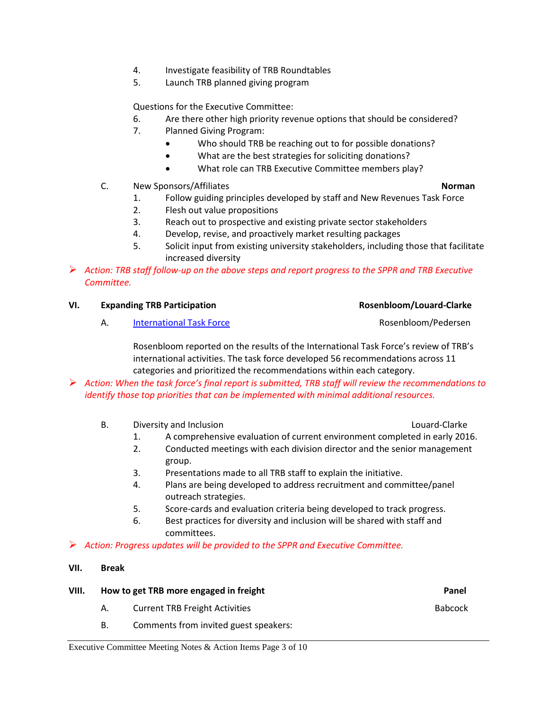- 4. Investigate feasibility of TRB Roundtables
- 5. Launch TRB planned giving program

Questions for the Executive Committee:

- 6. Are there other high priority revenue options that should be considered?
- 7. Planned Giving Program:
	- Who should TRB be reaching out to for possible donations?
	- What are the best strategies for soliciting donations?
	- What role can TRB Executive Committee members play?
- C. New Sponsors/Affiliates **Norman**

- 1. Follow guiding principles developed by staff and New Revenues Task Force
- 2. Flesh out value propositions
- 3. Reach out to prospective and existing private sector stakeholders
- 4. Develop, revise, and proactively market resulting packages
- 5. Solicit input from existing university stakeholders, including those that facilitate increased diversity
- *Action: TRB staff follow-up on the above steps and report progress to the SPPR and TRB Executive Committee.*

| VI. |  | <b>Expanding TRB Participation</b> |
|-----|--|------------------------------------|
|     |  |                                    |

A. [International Task Force](http://onlinepubs.trb.org/onlinepubs/excomm/16-06-Rosenbloom.pdf) **Access 19 and Task Force Rosenbloom**/Pedersen

Rosenbloom reported on the results of the International Task Force's review of TRB's international activities. The task force developed 56 recommendations across 11 categories and prioritized the recommendations within each category.

 *Action: When the task force's final report is submitted, TRB staff will review the recommendations to identify those top priorities that can be implemented with minimal additional resources.*

- B. Diversity and Inclusion Development Clarke Louard-Clarke
	-

**VI. Expanding TRB Participation Rosenbloom/Louard-Clarke**

- 1. A comprehensive evaluation of current environment completed in early 2016.
- 2. Conducted meetings with each division director and the senior management group.
- 3. Presentations made to all TRB staff to explain the initiative.
- 4. Plans are being developed to address recruitment and committee/panel outreach strategies.
- 5. Score-cards and evaluation criteria being developed to track progress.
- 6. Best practices for diversity and inclusion will be shared with staff and committees.
- *Action: Progress updates will be provided to the SPPR and Executive Committee.*

### **VII. Break**

| VIII. | How to get TRB more engaged in freight | Panel                                 |                |
|-------|----------------------------------------|---------------------------------------|----------------|
|       | A.                                     | <b>Current TRB Freight Activities</b> | <b>Babcock</b> |
|       |                                        | Comments from invited guest speakers: |                |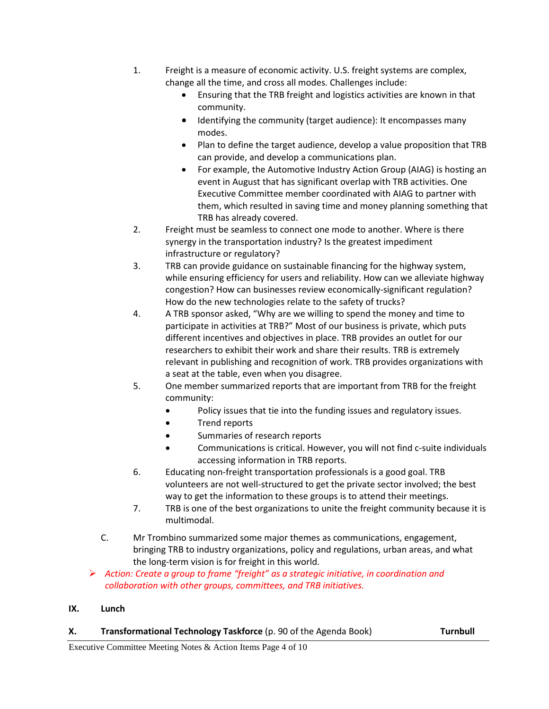- 1. Freight is a measure of economic activity. U.S. freight systems are complex, change all the time, and cross all modes. Challenges include:
	- Ensuring that the TRB freight and logistics activities are known in that community.
	- Identifying the community (target audience): It encompasses many modes.
	- Plan to define the target audience, develop a value proposition that TRB can provide, and develop a communications plan.
	- For example, the Automotive Industry Action Group (AIAG) is hosting an event in August that has significant overlap with TRB activities. One Executive Committee member coordinated with AIAG to partner with them, which resulted in saving time and money planning something that TRB has already covered.
- 2. Freight must be seamless to connect one mode to another. Where is there synergy in the transportation industry? Is the greatest impediment infrastructure or regulatory?
- 3. TRB can provide guidance on sustainable financing for the highway system, while ensuring efficiency for users and reliability. How can we alleviate highway congestion? How can businesses review economically-significant regulation? How do the new technologies relate to the safety of trucks?
- 4. A TRB sponsor asked, "Why are we willing to spend the money and time to participate in activities at TRB?" Most of our business is private, which puts different incentives and objectives in place. TRB provides an outlet for our researchers to exhibit their work and share their results. TRB is extremely relevant in publishing and recognition of work. TRB provides organizations with a seat at the table, even when you disagree.
- 5. One member summarized reports that are important from TRB for the freight community:
	- Policy issues that tie into the funding issues and regulatory issues.
	- Trend reports
	- Summaries of research reports
	- Communications is critical. However, you will not find c-suite individuals accessing information in TRB reports.
- 6. Educating non-freight transportation professionals is a good goal. TRB volunteers are not well-structured to get the private sector involved; the best way to get the information to these groups is to attend their meetings.
- 7. TRB is one of the best organizations to unite the freight community because it is multimodal.
- C. Mr Trombino summarized some major themes as communications, engagement, bringing TRB to industry organizations, policy and regulations, urban areas, and what the long-term vision is for freight in this world.
- *Action: Create a group to frame "freight" as a strategic initiative, in coordination and collaboration with other groups, committees, and TRB initiatives.*

# **IX. Lunch**

# **X. Transformational Technology Taskforce** (p. 90 of the Agenda Book) **Turnbull**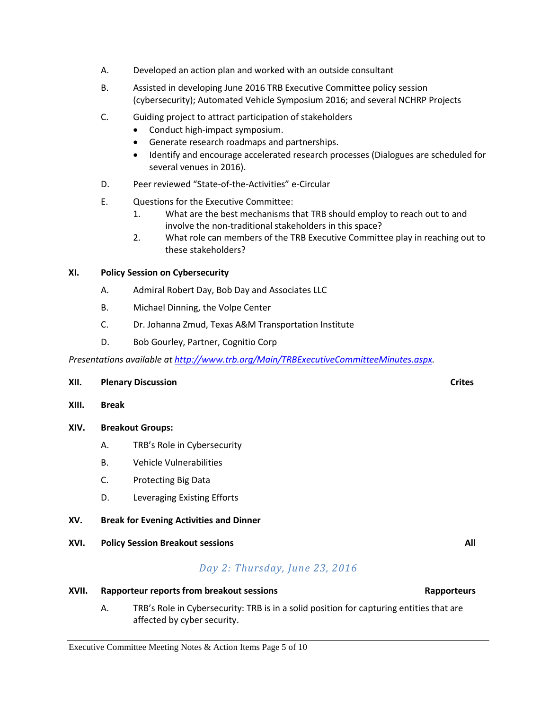- A. Developed an action plan and worked with an outside consultant
- B. Assisted in developing June 2016 TRB Executive Committee policy session (cybersecurity); Automated Vehicle Symposium 2016; and several NCHRP Projects
- C. Guiding project to attract participation of stakeholders
	- Conduct high-impact symposium.
	- Generate research roadmaps and partnerships.
	- Identify and encourage accelerated research processes (Dialogues are scheduled for several venues in 2016).
- D. Peer reviewed "State-of-the-Activities" e-Circular
- E. Questions for the Executive Committee:
	- 1. What are the best mechanisms that TRB should employ to reach out to and involve the non-traditional stakeholders in this space?
	- 2. What role can members of the TRB Executive Committee play in reaching out to these stakeholders?

## **XI. Policy Session on Cybersecurity**

- A. Admiral Robert Day, Bob Day and Associates LLC
- B. Michael Dinning, the Volpe Center
- C. Dr. Johanna Zmud, Texas A&M Transportation Institute
- D. Bob Gourley, Partner, Cognitio Corp

*Presentations available a[t http://www.trb.org/Main/TRBExecutiveCommitteeMinutes.aspx.](http://www.trb.org/Main/TRBExecutiveCommitteeMinutes.aspx)* 

### **XII. Plenary Discussion Crites**

**XIII. Break**

### **XIV. Breakout Groups:**

- A. TRB's Role in Cybersecurity
- B. Vehicle Vulnerabilities
- C. Protecting Big Data
- D. Leveraging Existing Efforts
- **XV. Break for Evening Activities and Dinner**
- **XVI. Policy Session Breakout sessions All**

# *Day 2: Thursday, June 23, 2016*

# **XVII.** Rapporteur reports from breakout sessions Rapporteurs Rapporteurs

A. TRB's Role in Cybersecurity: TRB is in a solid position for capturing entities that are affected by cyber security.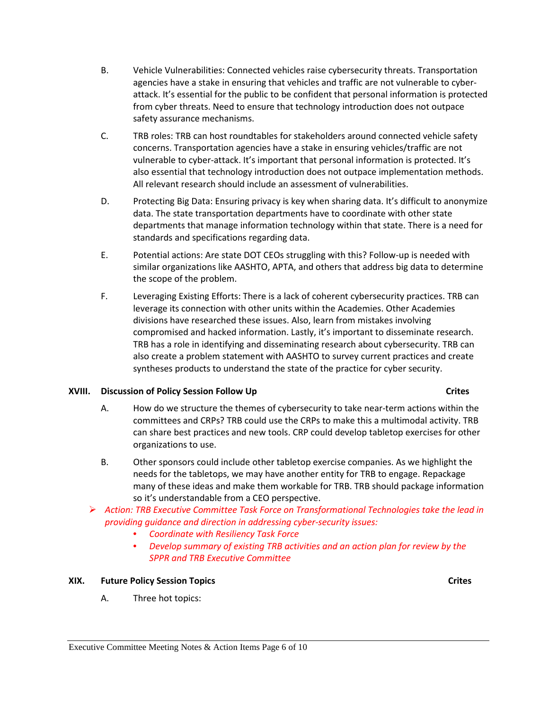- B. Vehicle Vulnerabilities: Connected vehicles raise cybersecurity threats. Transportation agencies have a stake in ensuring that vehicles and traffic are not vulnerable to cyberattack. It's essential for the public to be confident that personal information is protected from cyber threats. Need to ensure that technology introduction does not outpace safety assurance mechanisms.
- C. TRB roles: TRB can host roundtables for stakeholders around connected vehicle safety concerns. Transportation agencies have a stake in ensuring vehicles/traffic are not vulnerable to cyber-attack. It's important that personal information is protected. It's also essential that technology introduction does not outpace implementation methods. All relevant research should include an assessment of vulnerabilities.
- D. Protecting Big Data: Ensuring privacy is key when sharing data. It's difficult to anonymize data. The state transportation departments have to coordinate with other state departments that manage information technology within that state. There is a need for standards and specifications regarding data.
- E. Potential actions: Are state DOT CEOs struggling with this? Follow-up is needed with similar organizations like AASHTO, APTA, and others that address big data to determine the scope of the problem.
- F. Leveraging Existing Efforts: There is a lack of coherent cybersecurity practices. TRB can leverage its connection with other units within the Academies. Other Academies divisions have researched these issues. Also, learn from mistakes involving compromised and hacked information. Lastly, it's important to disseminate research. TRB has a role in identifying and disseminating research about cybersecurity. TRB can also create a problem statement with AASHTO to survey current practices and create syntheses products to understand the state of the practice for cyber security.

# **XVIII.** Discussion of Policy Session Follow Up Crites

- A. How do we structure the themes of cybersecurity to take near-term actions within the committees and CRPs? TRB could use the CRPs to make this a multimodal activity. TRB can share best practices and new tools. CRP could develop tabletop exercises for other organizations to use.
- B. Other sponsors could include other tabletop exercise companies. As we highlight the needs for the tabletops, we may have another entity for TRB to engage. Repackage many of these ideas and make them workable for TRB. TRB should package information so it's understandable from a CEO perspective.
- *Action: TRB Executive Committee Task Force on Transformational Technologies take the lead in providing guidance and direction in addressing cyber-security issues:*
	- *Coordinate with Resiliency Task Force*
	- *Develop summary of existing TRB activities and an action plan for review by the SPPR and TRB Executive Committee*

# **XIX. Future Policy Session Topics Crites**

A. Three hot topics: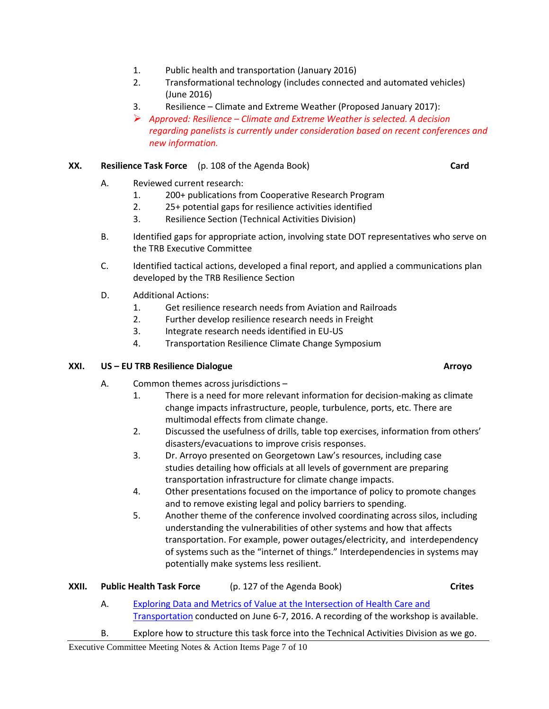- 1. Public health and transportation (January 2016)
- 2. Transformational technology (includes connected and automated vehicles) (June 2016)
- 3. Resilience Climate and Extreme Weather (Proposed January 2017):
- *Approved: Resilience – Climate and Extreme Weather is selected. A decision regarding panelists is currently under consideration based on recent conferences and new information.*

## **XX. Resilience Task Force** (p. 108 of the Agenda Book) **Card**

- A. Reviewed current research:
	- 1. 200+ publications from Cooperative Research Program
	- 2. 25+ potential gaps for resilience activities identified
	- 3. Resilience Section (Technical Activities Division)
- B. Identified gaps for appropriate action, involving state DOT representatives who serve on the TRB Executive Committee
- C. Identified tactical actions, developed a final report, and applied a communications plan developed by the TRB Resilience Section
- D. Additional Actions:
	- 1. Get resilience research needs from Aviation and Railroads
	- 2. Further develop resilience research needs in Freight
	- 3. Integrate research needs identified in EU-US
	- 4. Transportation Resilience Climate Change Symposium

### **XXI.** US – EU TRB Resilience Dialogue Arroyo<sup>o</sup> Arroyo<sup>o</sup>

- A. Common themes across jurisdictions
	- 1. There is a need for more relevant information for decision-making as climate change impacts infrastructure, people, turbulence, ports, etc. There are multimodal effects from climate change.
	- 2. Discussed the usefulness of drills, table top exercises, information from others' disasters/evacuations to improve crisis responses.
	- 3. Dr. Arroyo presented on Georgetown Law's resources, including case studies detailing how officials at all levels of government are preparing transportation infrastructure for climate change impacts.
	- 4. Other presentations focused on the importance of policy to promote changes and to remove existing legal and policy barriers to spending.
	- 5. Another theme of the conference involved coordinating across silos, including understanding the vulnerabilities of other systems and how that affects transportation. For example, power outages/electricity, and interdependency of systems such as the "internet of things." Interdependencies in systems may potentially make systems less resilient.

| XXII. | <b>Public Health Task Force</b> | (p. 127 of the Agenda Book) | <b>Crites</b> |
|-------|---------------------------------|-----------------------------|---------------|
|-------|---------------------------------|-----------------------------|---------------|

- A. [Exploring Data and Metrics of Value at the Intersection of Health Care and](http://www.nationalacademies.org/hmd/Activities/PublicHealth/TransitandHealthcare/2016-JUN-6.aspx)  [Transportation](http://www.nationalacademies.org/hmd/Activities/PublicHealth/TransitandHealthcare/2016-JUN-6.aspx) conducted on June 6-7, 2016. A recording of the workshop is available.
- B. Explore how to structure this task force into the Technical Activities Division as we go.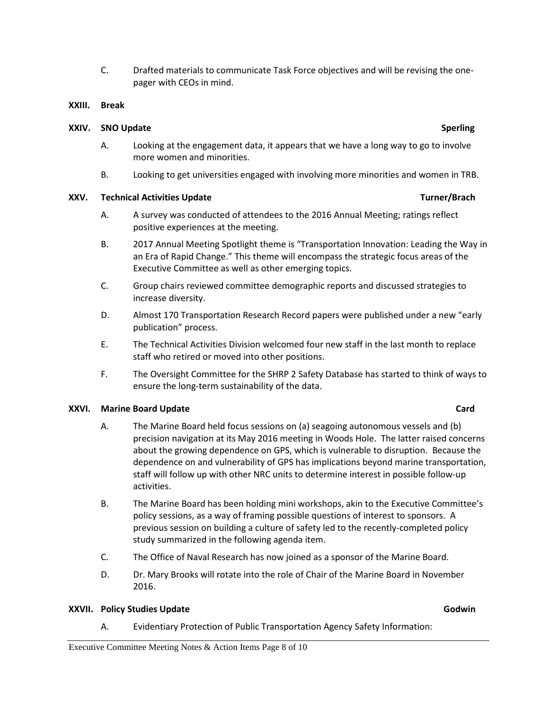C. Drafted materials to communicate Task Force objectives and will be revising the onepager with CEOs in mind.

### **XXIII. Break**

### **XXIV.** SNO Update Sperling

- A. Looking at the engagement data, it appears that we have a long way to go to involve more women and minorities.
- B. Looking to get universities engaged with involving more minorities and women in TRB.

### **XXV.** Technical Activities Update **Turner/Brach** *Turner/Brach* **Turner/Brach Turner/Brach**

- A. A survey was conducted of attendees to the 2016 Annual Meeting; ratings reflect positive experiences at the meeting.
- B. 2017 Annual Meeting Spotlight theme is "Transportation Innovation: Leading the Way in an Era of Rapid Change." This theme will encompass the strategic focus areas of the Executive Committee as well as other emerging topics.
- C. Group chairs reviewed committee demographic reports and discussed strategies to increase diversity.
- D. Almost 170 Transportation Research Record papers were published under a new "early publication" process.
- E. The Technical Activities Division welcomed four new staff in the last month to replace staff who retired or moved into other positions.
- F. The Oversight Committee for the SHRP 2 Safety Database has started to think of ways to ensure the long-term sustainability of the data.

### **XXVI.** Marine Board Update Card

- A. The Marine Board held focus sessions on (a) seagoing autonomous vessels and (b) precision navigation at its May 2016 meeting in Woods Hole. The latter raised concerns about the growing dependence on GPS, which is vulnerable to disruption. Because the dependence on and vulnerability of GPS has implications beyond marine transportation, staff will follow up with other NRC units to determine interest in possible follow-up activities.
- B. The Marine Board has been holding mini workshops, akin to the Executive Committee's policy sessions, as a way of framing possible questions of interest to sponsors. A previous session on building a culture of safety led to the recently-completed policy study summarized in the following agenda item.
- C. The Office of Naval Research has now joined as a sponsor of the Marine Board.
- D. Dr. Mary Brooks will rotate into the role of Chair of the Marine Board in November 2016.

### **XXVII. Policy Studies Update Godwin**

A. Evidentiary Protection of Public Transportation Agency Safety Information: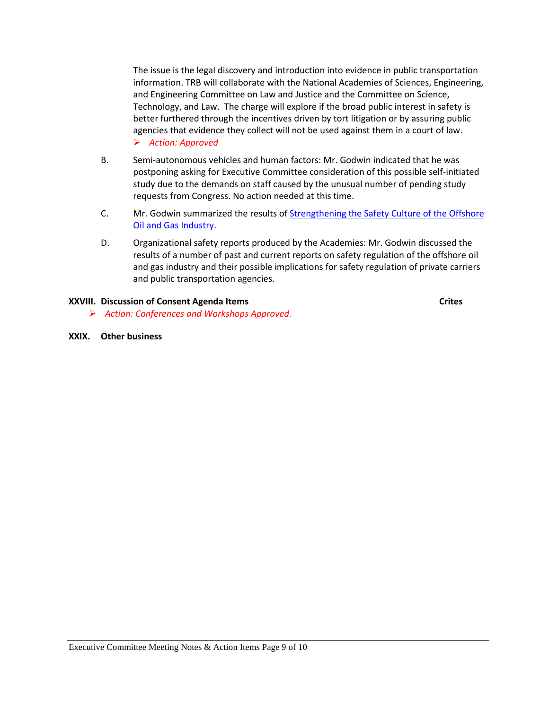The issue is the legal discovery and introduction into evidence in public transportation information. TRB will collaborate with the National Academies of Sciences, Engineering, and Engineering Committee on Law and Justice and the Committee on Science, Technology, and Law. The charge will explore if the broad public interest in safety is better furthered through the incentives driven by tort litigation or by assuring public agencies that evidence they collect will not be used against them in a court of law. *Action: Approved*

- B. Semi-autonomous vehicles and human factors: Mr. Godwin indicated that he was postponing asking for Executive Committee consideration of this possible self-initiated study due to the demands on staff caused by the unusual number of pending study requests from Congress. No action needed at this time.
- C. Mr. Godwin summarized the results of Strengthening the Safety Culture of the Offshore [Oil and Gas Industry.](http://www.trb.org/Main/Blurbs/174395.aspx)
- D. Organizational safety reports produced by the Academies: Mr. Godwin discussed the results of a number of past and current reports on safety regulation of the offshore oil and gas industry and their possible implications for safety regulation of private carriers and public transportation agencies.

### **XXVIII.** Discussion of Consent Agenda Items **CRITES CRITES CRITES CRITES**

- *Action: Conferences and Workshops Approved.*
- <span id="page-8-0"></span>**XXIX. Other business**